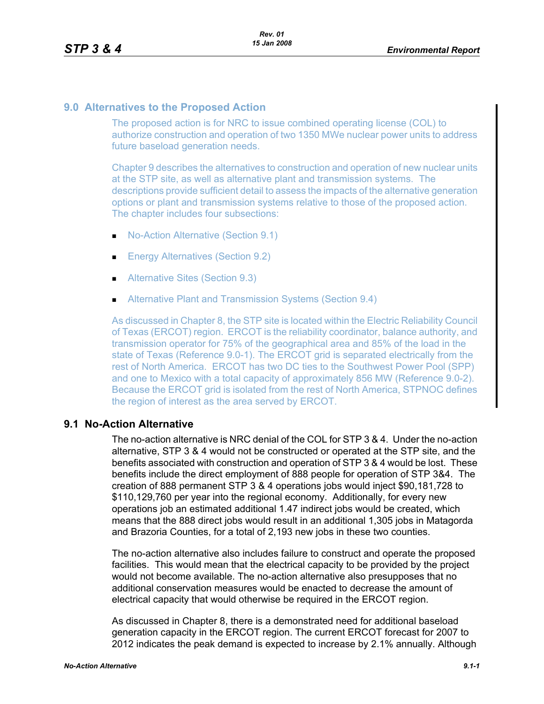## **9.0 Alternatives to the Proposed Action**

The proposed action is for NRC to issue combined operating license (COL) to authorize construction and operation of two 1350 MWe nuclear power units to address future baseload generation needs.

Chapter 9 describes the alternatives to construction and operation of new nuclear units at the STP site, as well as alternative plant and transmission systems. The descriptions provide sufficient detail to assess the impacts of the alternative generation options or plant and transmission systems relative to those of the proposed action. The chapter includes four subsections:

- No-Action Alternative (Section 9.1)
- **Energy Alternatives (Section 9.2)**
- **Alternative Sites (Section 9.3)**
- **Alternative Plant and Transmission Systems (Section 9.4)**

As discussed in Chapter 8, the STP site is located within the Electric Reliability Council of Texas (ERCOT) region. ERCOT is the reliability coordinator, balance authority, and transmission operator for 75% of the geographical area and 85% of the load in the state of Texas (Reference 9.0-1). The ERCOT grid is separated electrically from the rest of North America. ERCOT has two DC ties to the Southwest Power Pool (SPP) and one to Mexico with a total capacity of approximately 856 MW (Reference 9.0-2). Because the ERCOT grid is isolated from the rest of North America, STPNOC defines the region of interest as the area served by ERCOT.

## **9.1 No-Action Alternative**

The no-action alternative is NRC denial of the COL for STP 3 & 4. Under the no-action alternative, STP 3 & 4 would not be constructed or operated at the STP site, and the benefits associated with construction and operation of STP 3 & 4 would be lost. These benefits include the direct employment of 888 people for operation of STP 3&4. The creation of 888 permanent STP 3 & 4 operations jobs would inject \$90,181,728 to \$110,129,760 per year into the regional economy. Additionally, for every new operations job an estimated additional 1.47 indirect jobs would be created, which means that the 888 direct jobs would result in an additional 1,305 jobs in Matagorda and Brazoria Counties, for a total of 2,193 new jobs in these two counties.

The no-action alternative also includes failure to construct and operate the proposed facilities. This would mean that the electrical capacity to be provided by the project would not become available. The no-action alternative also presupposes that no additional conservation measures would be enacted to decrease the amount of electrical capacity that would otherwise be required in the ERCOT region.

As discussed in Chapter 8, there is a demonstrated need for additional baseload generation capacity in the ERCOT region. The current ERCOT forecast for 2007 to 2012 indicates the peak demand is expected to increase by 2.1% annually. Although